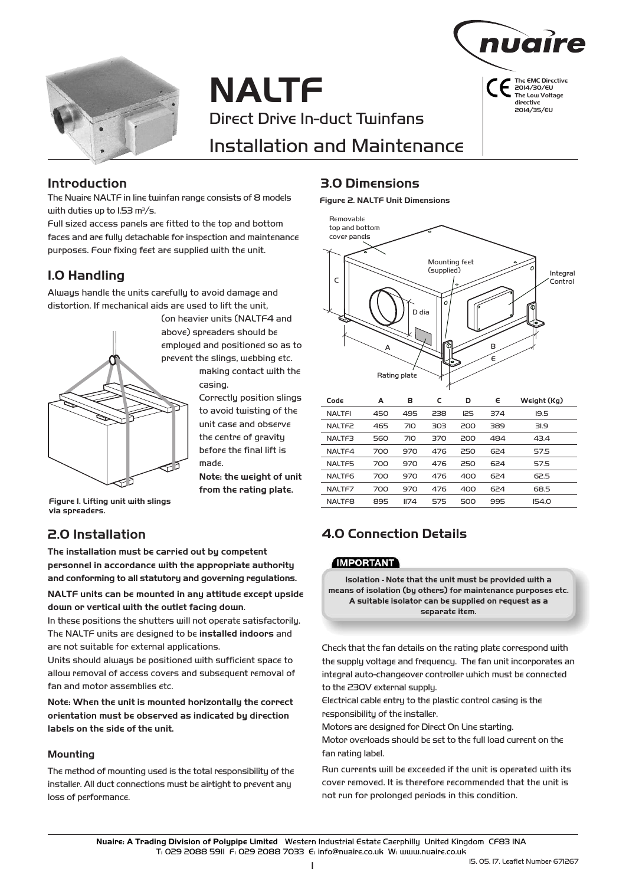

# **NALTF** Direct Drive In-duct Twinfans Installation and Maintenance



**The EMC Directive 20**14**/**30**/E**U **The Low Voltage directive 20**14**/**3**5/E**U

#### **Introduction**

The Nuaire NALTF in line twinfan range consists of 8 models with duties up to 1.53  $\mathrm{m}^3/\mathrm{s}$ .

Full sized access panels are fitted to the top and bottom faces and are fully detachable for inspection and maintenance purposes. Four fixing feet are supplied with the unit.

### **1.0 Handling**

Always handle the units carefully to avoid damage and distortion. If mechanical aids are used to lift the unit,



(on heavier units (NALTF4 and above) spreaders should be employed and positioned so as to prevent the slings, webbing etc. making contact with the casing.

> Correctly position slings to avoid twisting of the unit case and observe the centre of gravity before the final lift is made.

**Note: the weight of unit from the rating plate.**

**Figure I. Lifting unit with slings via spreaders.**

### **2.0 Installation**

**The installation must be carried out by competent personnel in accordance with the appropriate authority and conforming to all statutory and governing regulations.**

**NALTF units can be mounted in any attitude except upside down or vertical with the outlet facing down**.

In these positions the shutters will not operate satisfactorily. The NALTF units are designed to be **installed indoors** and are not suitable for external applications.

Units should always be positioned with sufficient space to allow removal of access covers and subsequent removal of fan and motor assemblies etc.

**Note: When the unit is mounted horizontally the correct orientation must be observed as indicated by direction labels on the side of the unit.**

#### **Mounting**

The method of mounting used is the total responsibility of the installer. All duct connections must be airtight to prevent any loss of performance.

### **3.0 Dimensions**

#### **Figure 2. NALTF Unit Dimensions**



| Code               | Α   | в               | c   | D          | E   | Weight (Kg)  |
|--------------------|-----|-----------------|-----|------------|-----|--------------|
| <b>NALTFI</b>      | 450 | 495             | 238 | <b>I25</b> | 374 | 19.5         |
| NALTF <sub>2</sub> | 465 | 7I <sub>O</sub> | 303 | 200        | 389 | 31.9         |
| NALTF3             | 560 | 7I <sub>O</sub> | 370 | 200        | 484 | 43.4         |
| NALTF4             | 700 | 970             | 476 | 250        | 624 | 57.5         |
| <b>NALTF5</b>      | 700 | 970             | 476 | 250        | 624 | 57.5         |
| NALTF <sub>6</sub> | 700 | 970             | 476 | 400        | 624 | 62.5         |
| NALTF7             | 700 | 970             | 476 | 400        | 624 | 68.5         |
| <b>NALTF8</b>      | 895 | II74            | 575 | 500        | 995 | <b>IS4.0</b> |

### **4.0 Connection Details**

#### **IMPORTANT**

**Isolation - Note that the unit must be provided with a means of isolation (by others) for maintenance purposes etc. A suitable isolator can be supplied on request as a separate item.**

Check that the fan details on the rating plate correspond with the supply voltage and frequency. The fan unit incorporates an integral auto-changeover controller which must be connected to the 230V external supply.

Electrical cable entry to the plastic control casing is the responsibility of the installer.

Motors are designed for Direct On Line starting.

Motor overloads should be set to the full load current on the fan rating label.

Run currents will be exceeded if the unit is operated with its cover removed. It is therefore recommended that the unit is not run for prolonged periods in this condition.

Nuaire: A Trading Division of Polypipe Limited Western Industrial Estate Caerphilly United Kingdom CF83 1NA T: 029 2088 5911 F: 029 2088 7033 E: info@nuaire.co.uk W: www.nuaire.co.uk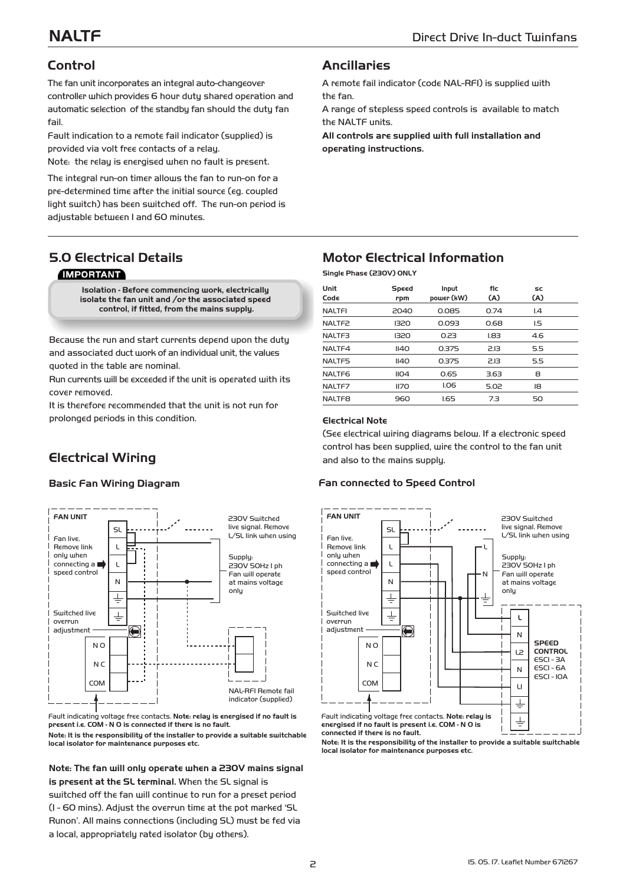### **Control**

The fan unit incorporates an integral auto-changeover controller which provides 6 hour duty shared operation and automatic selection of the standby fan should the duty fan fail.

Fault indication to a remote fail indicator (supplied) is provided via volt free contacts of a relay.

Note: the relay is energised when no fault is present.

The integral run-on timer allows the fan to run-on for a pre-determined time after the initial source (eg. coupled light switch) has been switched off. The run-on period is adjustable between 1 and 60 minutes.

#### **Ancillaries**

A remote fail indicator (code NAL-RFI) is supplied with the fan.

A range of stepless speed controls is available to match the NALTF units.

**All controls are supplied with full installation and operating instructions.**

#### **5.0 Electrical Details IMPORTANT**

**Isolation - Before commencing work, electrically isolate the fan unit and /or the associated speed control, if fitted, from the mains supply.**

Because the run and start currents depend upon the duty and associated duct work of an individual unit, the values quoted in the table are nominal.

Run currents will be exceeded if the unit is operated with its cover removed.

It is therefore recommended that the unit is not run for prolonged periods in this condition.

## **Electrical Wiring**



Fault indicating voltage free contacts. **Note: relay is energised if no fault is present i.e. COM - N O is connected if there is no fault. Note: It is the responsibility of the installer to provide a suitable switchable local isolator for maintenance purposes etc.**

**Note: The fan will only operate when a 230V mains signal is present at the SL terminal.** When the SL signal is switched off the fan will continue to run for a preset period (1 - 60 mins). Adjust the overrun time at the pot marked 'SL Runon'. All mains connections (including SL) must be fed via a local, appropriately rated isolator (by others).

### **Motor Electrical Information**

**Single Phase (230V) ONLY**

| Unit<br>Code       | Speed<br>rpm     | Input<br>power (kW) | flc<br>(A) | SC<br>(A)                |
|--------------------|------------------|---------------------|------------|--------------------------|
| <b>NALTFI</b>      | 2040             | 0.085               | 0.74       | $\mathsf{I} \mathcal{A}$ |
| NALTF <sub>2</sub> | 1320             | 0.093               | 0.68       | 1.5                      |
| NALTF3             | 1320             | 0.23                | L83        | 4.6                      |
| NALTF4             | II40             | 0.375               | 2.13       | 5.5                      |
| NALTF5             | II40             | 0.375               | 2.13       | 5.5                      |
| NALTF <sub>6</sub> | II <sub>04</sub> | 0.65                | 3.63       | 8                        |
| NALTF7             | II7O             | <b>I.O6</b>         | 5.02       | 18                       |
| NALTF <sub>8</sub> | 960              | 1.65                | 7.3        | 50                       |

#### **Electrical Note**

(See electrical wiring diagrams below. If a electronic speed control has been supplied, wire the control to the fan unit and also to the mains supply.

#### **Basic Fan Wiring Diagram Fan connected to Speed Control**



**Note: It is the responsibility of the installer to provide a suitable switchable local isolator for maintenance purposes etc.**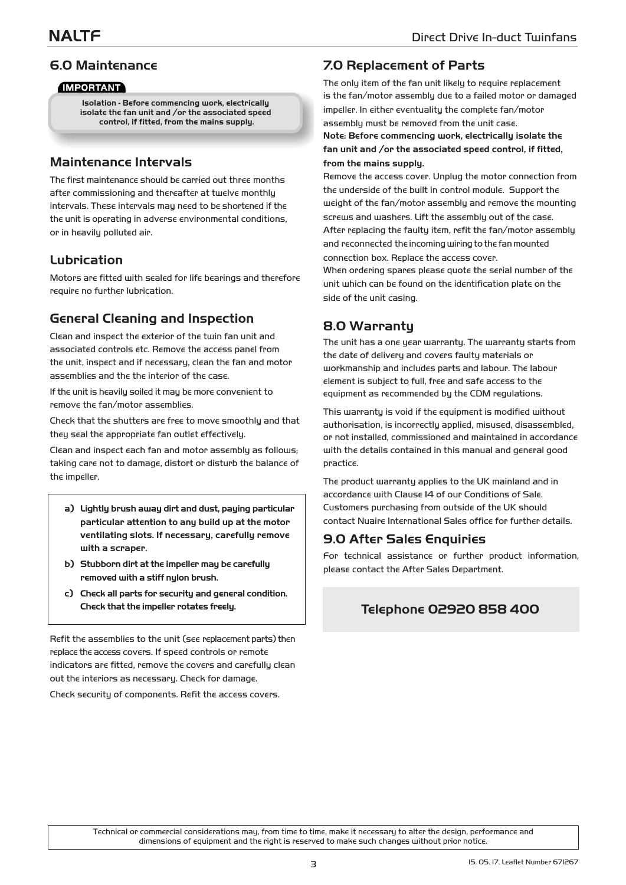#### **6.0 Maintenance**

#### **IMPORTANT**

**Isolation - Before commencing work, electrically isolate the fan unit and /or the associated speed control, if fitted, from the mains supply.**

#### **Maintenance Intervals**

The first maintenance should be carried out three months after commissioning and thereafter at twelve monthly intervals. These intervals may need to be shortened if the the unit is operating in adverse environmental conditions, or in heavily polluted air.

#### **Lubrication**

Motors are fitted with sealed for life bearings and therefore require no further lubrication.

### **General Cleaning and Inspection**

Clean and inspect the exterior of the twin fan unit and associated controls etc. Remove the access panel from the unit, inspect and if necessary, clean the fan and motor assemblies and the the interior of the case.

If the unit is heavily soiled it may be more convenient to remove the fan/motor assemblies.

Check that the shutters are free to move smoothly and that they seal the appropriate fan outlet effectively.

Clean and inspect each fan and motor assembly as follows; taking care not to damage, distort or disturb the balance of the impeller.

- **a) Lightly brush away dirt and dust, paying particular particular attention to any build up at the motor ventilating slots. If necessary, carefully remove with a scraper.**
- **b) Stubborn dirt at the impeller may be carefully removed with a stiff nylon brush.**
- **c) Check all parts for security and general condition. Check that the impeller rotates freely.**

Refit the assemblies to the unit (see replacement parts) then replace the access covers. If speed controls or remote indicators are fitted, remove the covers and carefully clean out the interiors as necessary. Check for damage.

Check security of components. Refit the access covers.

#### **7.0 Replacement of Parts**

The only item of the fan unit likely to require replacement is the fan/motor assembly due to a failed motor or damaged impeller. In either eventuality the complete fan/motor assembly must be removed from the unit case. **Note: Before commencing work, electrically isolate the fan unit and /or the associated speed control, if fitted, from the mains supply.**

Remove the access cover. Unplug the motor connection from the underside of the built in control module. Support the weight of the fan/motor assembly and remove the mounting screws and washers. Lift the assembly out of the case. After replacing the faulty item, refit the fan/motor assembly and reconnected the incoming wiring to the fan mounted connection box. Replace the access cover.

When ordering spares please quote the serial number of the unit which can be found on the identification plate on the side of the unit casing.

### 8.0 Warranty

The unit has a one year warranty. The warranty starts from the date of delivery and covers faulty materials or workmanship and includes parts and labour. The labour element is subject to full, free and safe access to the equipment as recommended by the CDM regulations.

This warranty is void if the equipment is modified without authorisation, is incorrectly applied, misused, disassembled, or not installed, commissioned and maintained in accordance with the details contained in this manual and general good practice.

The product warranty applies to the UK mainland and in accordance with Clause 14 of our Conditions of Sale. Customers purchasing from outside of the UK should contact Nuaire International Sales office for further details.

#### 9.0 After Sales Enquiries

For technical assistance or further product information, please contact the After Sales Department.

### **Telephone 02920 858 400**

Technical or commercial considerations may, from time to time, make it necessary to alter the design, performance and dimensions of equipment and the right is reserved to make such changes without prior notice.